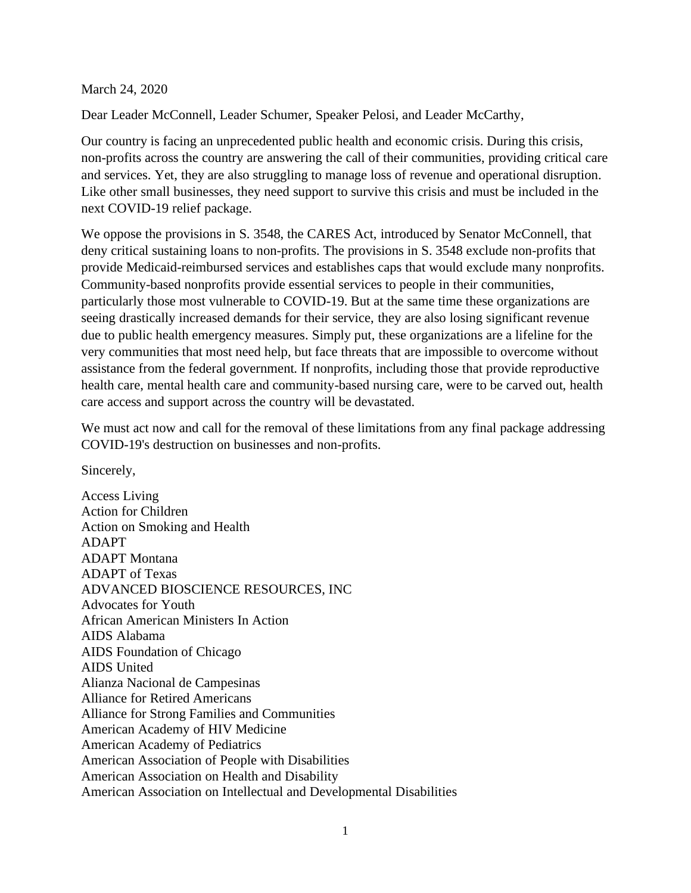March 24, 2020

Dear Leader McConnell, Leader Schumer, Speaker Pelosi, and Leader McCarthy,

Our country is facing an unprecedented public health and economic crisis. During this crisis, non-profits across the country are answering the call of their communities, providing critical care and services. Yet, they are also struggling to manage loss of revenue and operational disruption. Like other small businesses, they need support to survive this crisis and must be included in the next COVID-19 relief package.

We oppose the provisions in S. 3548, the CARES Act, introduced by Senator McConnell, that deny critical sustaining loans to non-profits. The provisions in S. 3548 exclude non-profits that provide Medicaid-reimbursed services and establishes caps that would exclude many nonprofits. Community-based nonprofits provide essential services to people in their communities, particularly those most vulnerable to COVID-19. But at the same time these organizations are seeing drastically increased demands for their service, they are also losing significant revenue due to public health emergency measures. Simply put, these organizations are a lifeline for the very communities that most need help, but face threats that are impossible to overcome without assistance from the federal government. If nonprofits, including those that provide reproductive health care, mental health care and community-based nursing care, were to be carved out, health care access and support across the country will be devastated.

We must act now and call for the removal of these limitations from any final package addressing COVID-19's destruction on businesses and non-profits.

Sincerely,

Access Living Action for Children Action on Smoking and Health ADAPT ADAPT Montana ADAPT of Texas ADVANCED BIOSCIENCE RESOURCES, INC Advocates for Youth African American Ministers In Action AIDS Alabama AIDS Foundation of Chicago AIDS United Alianza Nacional de Campesinas Alliance for Retired Americans Alliance for Strong Families and Communities American Academy of HIV Medicine American Academy of Pediatrics American Association of People with Disabilities American Association on Health and Disability American Association on Intellectual and Developmental Disabilities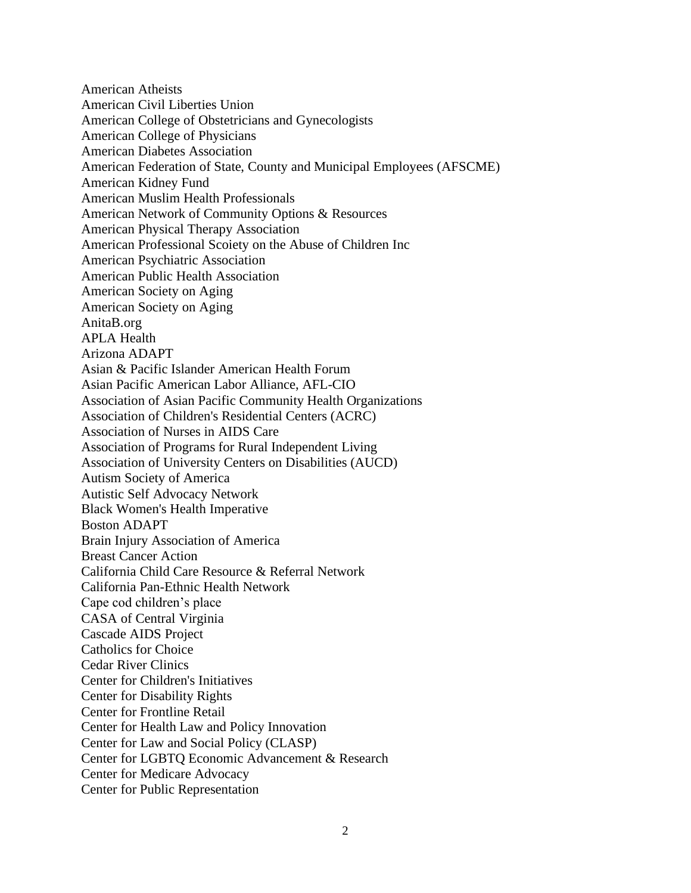American Atheists American Civil Liberties Union American College of Obstetricians and Gynecologists American College of Physicians American Diabetes Association American Federation of State, County and Municipal Employees (AFSCME) American Kidney Fund American Muslim Health Professionals American Network of Community Options & Resources American Physical Therapy Association American Professional Scoiety on the Abuse of Children Inc American Psychiatric Association American Public Health Association American Society on Aging American Society on Aging AnitaB.org APLA Health Arizona ADAPT Asian & Pacific Islander American Health Forum Asian Pacific American Labor Alliance, AFL-CIO Association of Asian Pacific Community Health Organizations Association of Children's Residential Centers (ACRC) Association of Nurses in AIDS Care Association of Programs for Rural Independent Living Association of University Centers on Disabilities (AUCD) Autism Society of America Autistic Self Advocacy Network Black Women's Health Imperative Boston ADAPT Brain Injury Association of America Breast Cancer Action California Child Care Resource & Referral Network California Pan-Ethnic Health Network Cape cod children's place CASA of Central Virginia Cascade AIDS Project Catholics for Choice Cedar River Clinics Center for Children's Initiatives Center for Disability Rights Center for Frontline Retail Center for Health Law and Policy Innovation Center for Law and Social Policy (CLASP) Center for LGBTQ Economic Advancement & Research Center for Medicare Advocacy Center for Public Representation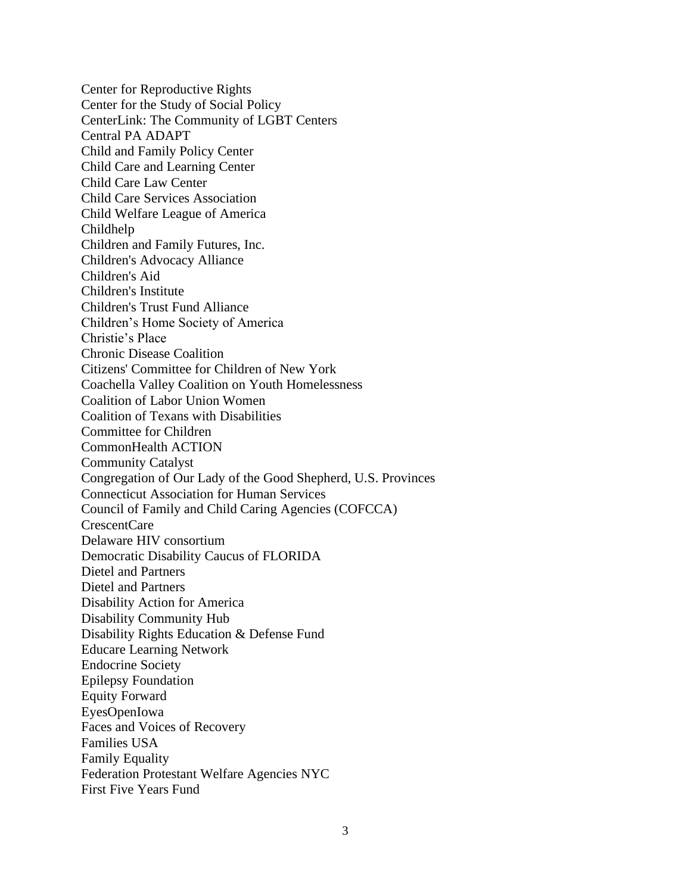Center for Reproductive Rights Center for the Study of Social Policy CenterLink: The Community of LGBT Centers Central PA ADAPT Child and Family Policy Center Child Care and Learning Center Child Care Law Center Child Care Services Association Child Welfare League of America Childhelp Children and Family Futures, Inc. Children's Advocacy Alliance Children's Aid Children's Institute Children's Trust Fund Alliance Children's Home Society of America Christie's Place Chronic Disease Coalition Citizens' Committee for Children of New York Coachella Valley Coalition on Youth Homelessness Coalition of Labor Union Women Coalition of Texans with Disabilities Committee for Children CommonHealth ACTION Community Catalyst Congregation of Our Lady of the Good Shepherd, U.S. Provinces Connecticut Association for Human Services Council of Family and Child Caring Agencies (COFCCA) CrescentCare Delaware HIV consortium Democratic Disability Caucus of FLORIDA Dietel and Partners Dietel and Partners Disability Action for America Disability Community Hub Disability Rights Education & Defense Fund Educare Learning Network Endocrine Society Epilepsy Foundation Equity Forward EyesOpenIowa Faces and Voices of Recovery Families USA Family Equality Federation Protestant Welfare Agencies NYC First Five Years Fund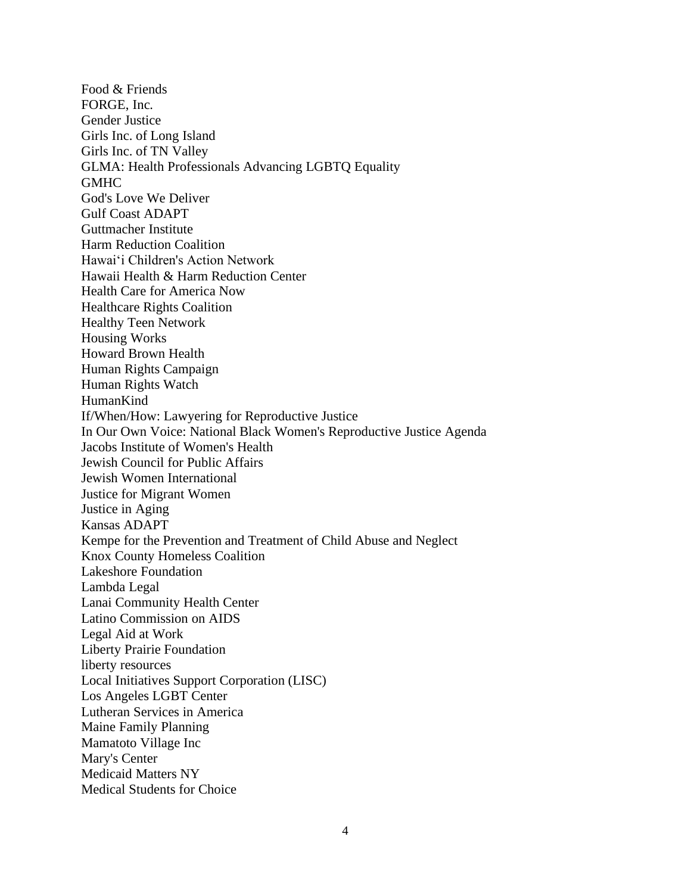Food & Friends FORGE, Inc. Gender Justice Girls Inc. of Long Island Girls Inc. of TN Valley GLMA: Health Professionals Advancing LGBTQ Equality **GMHC** God's Love We Deliver Gulf Coast ADAPT Guttmacher Institute Harm Reduction Coalition Hawaiʻi Children's Action Network Hawaii Health & Harm Reduction Center Health Care for America Now Healthcare Rights Coalition Healthy Teen Network Housing Works Howard Brown Health Human Rights Campaign Human Rights Watch HumanKind If/When/How: Lawyering for Reproductive Justice In Our Own Voice: National Black Women's Reproductive Justice Agenda Jacobs Institute of Women's Health Jewish Council for Public Affairs Jewish Women International Justice for Migrant Women Justice in Aging Kansas ADAPT Kempe for the Prevention and Treatment of Child Abuse and Neglect Knox County Homeless Coalition Lakeshore Foundation Lambda Legal Lanai Community Health Center Latino Commission on AIDS Legal Aid at Work Liberty Prairie Foundation liberty resources Local Initiatives Support Corporation (LISC) Los Angeles LGBT Center Lutheran Services in America Maine Family Planning Mamatoto Village Inc Mary's Center Medicaid Matters NY Medical Students for Choice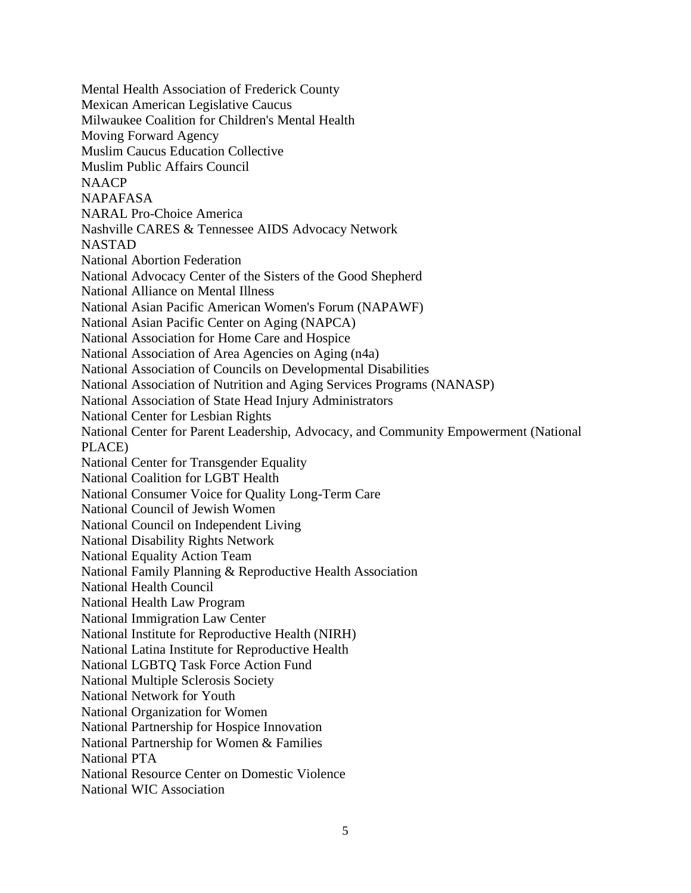Mental Health Association of Frederick County Mexican American Legislative Caucus Milwaukee Coalition for Children's Mental Health Moving Forward Agency Muslim Caucus Education Collective Muslim Public Affairs Council NAACP NAPAFASA NARAL Pro-Choice America Nashville CARES & Tennessee AIDS Advocacy Network NASTAD National Abortion Federation National Advocacy Center of the Sisters of the Good Shepherd National Alliance on Mental Illness National Asian Pacific American Women's Forum (NAPAWF) National Asian Pacific Center on Aging (NAPCA) National Association for Home Care and Hospice National Association of Area Agencies on Aging (n4a) National Association of Councils on Developmental Disabilities National Association of Nutrition and Aging Services Programs (NANASP) National Association of State Head Injury Administrators National Center for Lesbian Rights National Center for Parent Leadership, Advocacy, and Community Empowerment (National PLACE) National Center for Transgender Equality National Coalition for LGBT Health National Consumer Voice for Quality Long-Term Care National Council of Jewish Women National Council on Independent Living National Disability Rights Network National Equality Action Team National Family Planning & Reproductive Health Association National Health Council National Health Law Program National Immigration Law Center National Institute for Reproductive Health (NIRH) National Latina Institute for Reproductive Health National LGBTQ Task Force Action Fund National Multiple Sclerosis Society National Network for Youth National Organization for Women National Partnership for Hospice Innovation National Partnership for Women & Families National PTA National Resource Center on Domestic Violence National WIC Association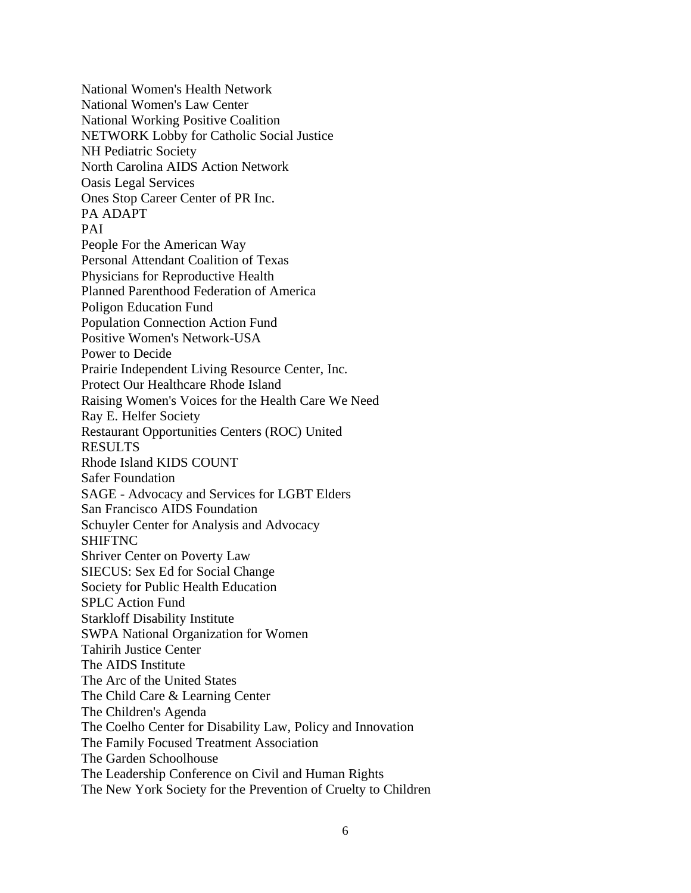National Women's Health Network National Women's Law Center National Working Positive Coalition NETWORK Lobby for Catholic Social Justice NH Pediatric Society North Carolina AIDS Action Network Oasis Legal Services Ones Stop Career Center of PR Inc. PA ADAPT PAI People For the American Way Personal Attendant Coalition of Texas Physicians for Reproductive Health Planned Parenthood Federation of America Poligon Education Fund Population Connection Action Fund Positive Women's Network-USA Power to Decide Prairie Independent Living Resource Center, Inc. Protect Our Healthcare Rhode Island Raising Women's Voices for the Health Care We Need Ray E. Helfer Society Restaurant Opportunities Centers (ROC) United RESULTS Rhode Island KIDS COUNT Safer Foundation SAGE - Advocacy and Services for LGBT Elders San Francisco AIDS Foundation Schuyler Center for Analysis and Advocacy SHIFTNC Shriver Center on Poverty Law SIECUS: Sex Ed for Social Change Society for Public Health Education SPLC Action Fund Starkloff Disability Institute SWPA National Organization for Women Tahirih Justice Center The AIDS Institute The Arc of the United States The Child Care & Learning Center The Children's Agenda The Coelho Center for Disability Law, Policy and Innovation The Family Focused Treatment Association The Garden Schoolhouse The Leadership Conference on Civil and Human Rights The New York Society for the Prevention of Cruelty to Children